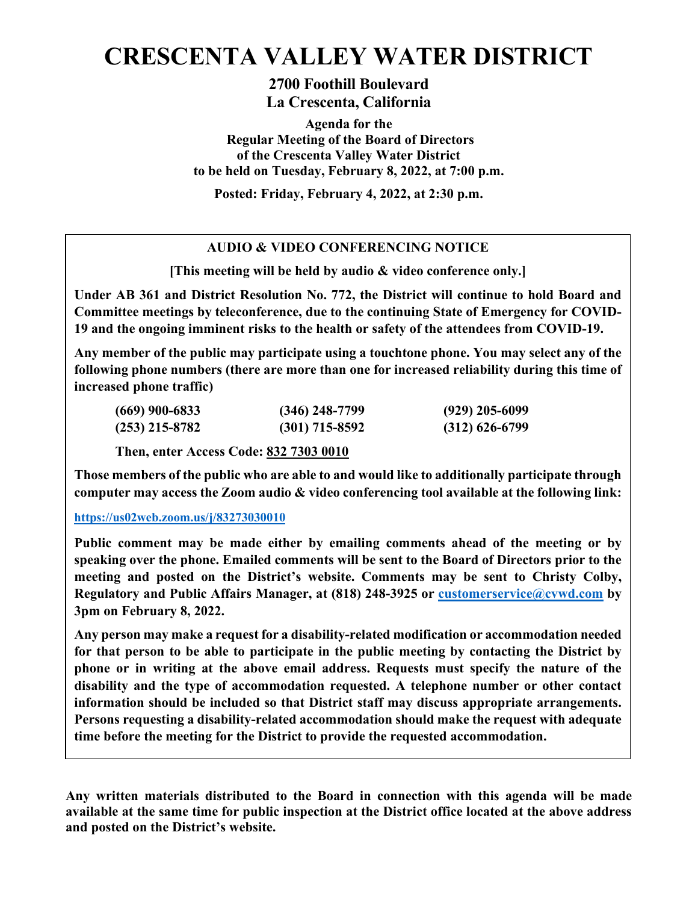# **CRESCENTA VALLEY WATER DISTRICT**

**2700 Foothill Boulevard La Crescenta, California**

**Agenda for the Regular Meeting of the Board of Directors of the Crescenta Valley Water District to be held on Tuesday, February 8, 2022, at 7:00 p.m.** 

**Posted: Friday, February 4, 2022, at 2:30 p.m.** 

# **AUDIO & VIDEO CONFERENCING NOTICE**

**[This meeting will be held by audio & video conference only.]**

**Under AB 361 and District Resolution No. 772, the District will continue to hold Board and Committee meetings by teleconference, due to the continuing State of Emergency for COVID-19 and the ongoing imminent risks to the health or safety of the attendees from COVID-19.** 

**Any member of the public may participate using a touchtone phone. You may select any of the following phone numbers (there are more than one for increased reliability during this time of increased phone traffic)**

| $(669)$ 900-6833 | $(346)$ 248-7799 | $(929)$ 205-6099 |
|------------------|------------------|------------------|
| $(253)$ 215-8782 | $(301)$ 715-8592 | $(312)$ 626-6799 |

**Then, enter Access Code: 832 7303 0010** 

**Those members of the public who are able to and would like to additionally participate through computer may access the Zoom audio & video conferencing tool available at the following link:** 

## **<https://us02web.zoom.us/j/83273030010>**

**Public comment may be made either by emailing comments ahead of the meeting or by speaking over the phone. Emailed comments will be sent to the Board of Directors prior to the meeting and posted on the District's website. Comments may be sent to Christy Colby, Regulatory and Public Affairs Manager, at (818) 248-3925 or [customerservice@cvwd.com](mailto:customerservice@cvwd.com) by 3pm on February 8, 2022.** 

**Any person may make a request for a disability-related modification or accommodation needed for that person to be able to participate in the public meeting by contacting the District by phone or in writing at the above email address. Requests must specify the nature of the disability and the type of accommodation requested. A telephone number or other contact information should be included so that District staff may discuss appropriate arrangements. Persons requesting a disability-related accommodation should make the request with adequate time before the meeting for the District to provide the requested accommodation.**

**Any written materials distributed to the Board in connection with this agenda will be made available at the same time for public inspection at the District office located at the above address and posted on the District's website.**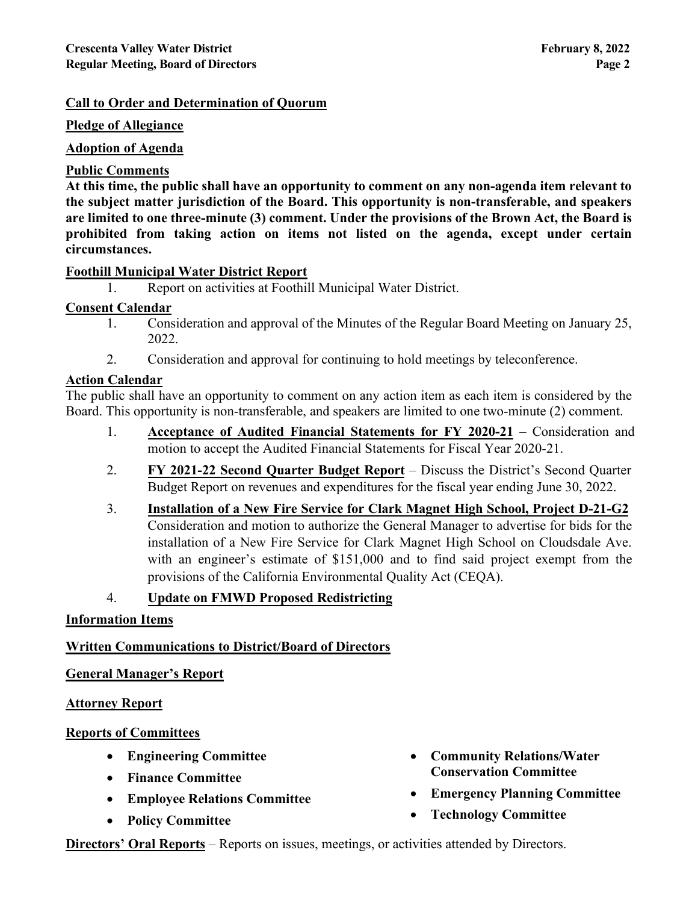### **Call to Order and Determination of Quorum**

#### **Pledge of Allegiance**

#### **Adoption of Agenda**

#### **Public Comments**

**At this time, the public shall have an opportunity to comment on any non-agenda item relevant to the subject matter jurisdiction of the Board. This opportunity is non-transferable, and speakers are limited to one three-minute (3) comment. Under the provisions of the Brown Act, the Board is prohibited from taking action on items not listed on the agenda, except under certain circumstances.**

#### **Foothill Municipal Water District Report**

1. Report on activities at Foothill Municipal Water District.

## **Consent Calendar**

- 1. Consideration and approval of the Minutes of the Regular Board Meeting on January 25, 2022.
- 2. Consideration and approval for continuing to hold meetings by teleconference.

## **Action Calendar**

The public shall have an opportunity to comment on any action item as each item is considered by the Board. This opportunity is non-transferable, and speakers are limited to one two-minute (2) comment.

- 1. **Acceptance of Audited Financial Statements for FY 2020-21** Consideration and motion to accept the Audited Financial Statements for Fiscal Year 2020-21.
- 2. **FY 2021-22 Second Quarter Budget Report** Discuss the District's Second Quarter Budget Report on revenues and expenditures for the fiscal year ending June 30, 2022.
- 3. **Installation of a New Fire Service for Clark Magnet High School, Project D-21-G2** Consideration and motion to authorize the General Manager to advertise for bids for the installation of a New Fire Service for Clark Magnet High School on Cloudsdale Ave. with an engineer's estimate of \$151,000 and to find said project exempt from the provisions of the California Environmental Quality Act (CEQA).

## 4. **Update on FMWD Proposed Redistricting**

#### **Information Items**

## **Written Communications to District/Board of Directors**

## **General Manager's Report**

#### **Attorney Report**

## **Reports of Committees**

- **Engineering Committee**
- **Finance Committee**
- **Employee Relations Committee**
- **Policy Committee**
- **Community Relations/Water Conservation Committee**
- **Emergency Planning Committee**
- **Technology Committee**

**Directors' Oral Reports** – Reports on issues, meetings, or activities attended by Directors.